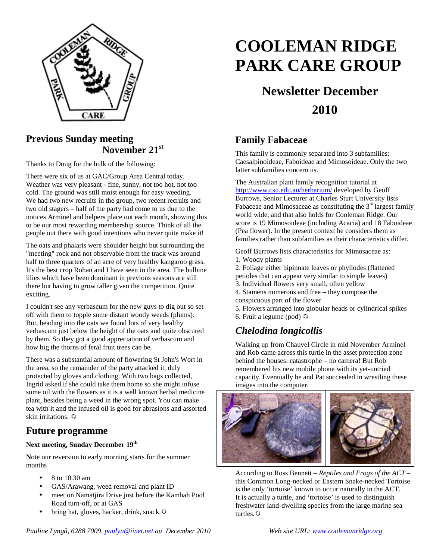

## **Previous Sunday meeting November 21st**

Thanks to Doug for the bulk of the following:

There were six of us at GAC/Group Area Central today. Weather was very pleasant - fine, sunny, not too hot, not too cold. The ground was still moist enough for easy weeding. We had two new recruits in the group, two recent recruits and two old stagers – half of the party had come to us due to the notices Arminel and helpers place out each month, showing this to be our most rewarding membership source. Think of all the people out there with good intentions who never quite make it!

The oats and phalaris were shoulder height but surrounding the "meeting" rock and not observable from the track was around half to three quarters of an acre of very healthy kangaroo grass. It's the best crop Rohan and I have seen in the area. The bulbine lilies which have been dominant in previous seasons are still there but having to grow taller given the competition. Quite exciting.

I couldn't see any verbascum for the new guys to dig out so set off with them to topple some distant woody weeds (plums). But, heading into the oats we found lots of very healthy verbascum just below the height of the oats and quite obscured by them. So they got a good appreciation of verbascum and how big the thorns of feral fruit trees can be.

There was a substantial amount of flowering St John's Wort in the area, so the remainder of the party attacked it, duly protected by gloves and clothing. With two bags collected, Ingrid asked if she could take them home so she might infuse some oil with the flowers as it is a well known herbal medicine plant, besides being a weed in the wrong spot. You can make tea with it and the infused oil is good for abrasions and assorted skin irritations.

## **Future programme**

#### **Next meeting, Sunday December 19th**

**N**ote our reversion to early morning starts for the summer months

- 8 to 10.30 am
- GAS/Arawang, weed removal and plant ID
- meet on Namatjira Drive just before the Kambah Pool Road turn-off, or at GAS
- bring hat, gloves, hacker, drink, snack. $\ddot{\varphi}$

# **COOLEMAN RIDGE PARK CARE GROUP**

## **Newsletter December 2010**

## **Family Fabaceae**

This family is commonly separated into 3 subfamilies: Caesalpinoideae, Faboideae and Mimosoideae. Only the two latter subfamilies concern us.

The Australian plant family recognition tutorial at http://www.csu.edu.au/herbarium/ developed by Geoff Burrows, Senior Lecturer at Charles Sturt University lists Fabaceae and Mimosaceae as constituting the  $3<sup>rd</sup>$  largest family world wide, and that also holds for Cooleman Ridge. Our score is 19 Mimosoideae (including Acacia) and 18 Faboideae (Pea flower). In the present context he considers them as families rather than subfamilies as their characteristics differ.

Geoff Burrows lists characteristics for Mimosaceae as:

- 1. Woody plants
- 2. Foliage either bipinnate leaves or phyllodes (flattened
- petioles that can appear very similar to simple leaves)
- 3. Individual flowers very small, often yellow
- 4. Stamens numerous and free they compose the conspicuous part of the flower
- 5. Flowers arranged into globular heads or cylindrical spikes 6. Fruit a legume (pod)  $\ddot{\varphi}$

## *Chelodina longicollis*

Walking up from Chauvel Circle in mid November Arminel and Rob came across this turtle in the asset protection zone behind the houses: catastrophe – no camera! But Rob remembered his new mobile phone with its yet-untried capacity. Eventually he and Pat succeeded in wrestling these images into the computer.



According to Ross Bennett – *Reptiles and Frogs of the ACT* – this Common Long-necked or Eastern Snake-necked Tortoise is the only 'tortoise' known to occur naturally in the ACT. It is actually a turtle, and 'tortoise' is used to distinguish freshwater land-dwelling species from the large marine sea turtles. $\ddot{\mathbf{\Omega}}$